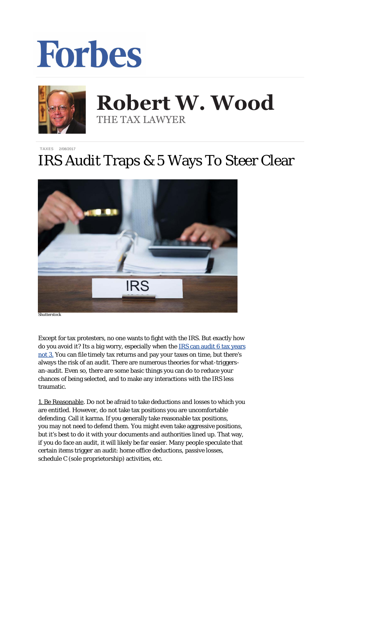## Forbes



## **Robert W. Wood Robert W. Wood** THE TAX LAWYER THE TAX LAWYER

[TAXES](http://www.forbes.com/taxes) 2/08/2017

## IRS Audit Traps & 5 Ways To Steer Clear



*Shutterstock*

Except for tax protesters, no one wants to fight with the IRS. But exactly how do you avoid it? Its a big worry, especially when the [IRS can audit 6 tax years](https://www.google.com/url?sa=t&rct=j&q=&esrc=s&source=web&cd=2&cad=rja&uact=8&ved=0ahUKEwjYu4GBuoPSAhVI02MKHWVSB30QFggnMAE&url=http%3A%2F%2Fwww.forbes.com%2Fsites%2Frobertwood%2F2017%2F02%2F09%2Firs-can-audit-6-tax-years-not-3-so-be-careful%2F&usg=AFQjCNFzittLpcU65-2orgrT7ioZn3tJOw&bvm=bv.146496531,d.amc) [not 3.](https://www.google.com/url?sa=t&rct=j&q=&esrc=s&source=web&cd=2&cad=rja&uact=8&ved=0ahUKEwjYu4GBuoPSAhVI02MKHWVSB30QFggnMAE&url=http%3A%2F%2Fwww.forbes.com%2Fsites%2Frobertwood%2F2017%2F02%2F09%2Firs-can-audit-6-tax-years-not-3-so-be-careful%2F&usg=AFQjCNFzittLpcU65-2orgrT7ioZn3tJOw&bvm=bv.146496531,d.amc) You can file timely tax returns and pay your taxes on time, but there's always the risk of an audit. There are numerous theories for what-triggersan-audit. Even so, there are some basic things you can do to *reduce* your chances of being selected, and to make any interactions with the IRS less traumatic.

1. Be Reasonable. Do not be afraid to take deductions and losses to which you are entitled. However, do not take tax positions you are uncomfortable defending. Call it karma. If you generally take reasonable tax positions, you may not need to defend them. You might even take aggressive positions, but it's best to do it with your documents and authorities lined up. That way, if you do face an audit, it will likely be far easier. Many people speculate that certain items trigger an audit: home office deductions, passive losses, schedule C (sole proprietorship) activities, etc.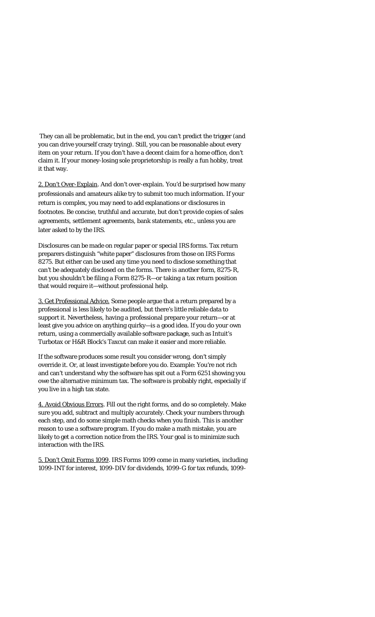They can all be problematic, but in the end, you can't predict the trigger (and you can drive yourself crazy trying). Still, you can be reasonable about every item on your return. If you don't have a decent claim for a home office, don't claim it. If your money-losing sole proprietorship is really a fun hobby, treat it that way.

2. Don't Over-Explain. And don't over-explain. You'd be surprised how many professionals and amateurs alike try to submit too much information. If your return is complex, you may need to add explanations or disclosures in footnotes. Be concise, truthful and accurate, but don't provide copies of sales agreements, settlement agreements, bank statements, etc., unless you are later asked to by the IRS.

Disclosures can be made on regular paper or special IRS forms. Tax return preparers distinguish "white paper" disclosures from those on IRS Forms 8275. But either can be used any time you need to disclose something that can't be adequately disclosed on the forms. There is another form, 8275-R, but you shouldn't be filing a Form 8275-R—or taking a tax return position that would require it—without professional help.

3. Get Professional Advice. Some people argue that a return prepared by a professional is less likely to be audited, but there's little reliable data to support it. Nevertheless, having a professional prepare your return—or at least give you advice on anything quirky—is a good idea. If you do your own return, using a commercially available software package, such as Intuit's Turbotax or H&R Block's Taxcut can make it easier and more reliable.

If the software produces some result you consider wrong, don't simply override it. Or, at least investigate before you do. Example: You're not rich and can't understand why the software has spit out a Form 6251 showing you owe the alternative minimum tax. The software is probably right, especially if you live in a high tax state.

4. Avoid Obvious Errors. Fill out the right forms, and do so completely. Make sure you add, subtract and multiply accurately. Check your numbers through each step, and do some simple math checks when you finish. This is another reason to use a software program. If you do make a math mistake, you are likely to get a correction notice from the IRS. Your goal is to minimize such interaction with the IRS.

5. Don't Omit Forms 1099. IRS Forms 1099 come in many varieties, including 1099-INT for interest, 1099-DIV for dividends, 1099-G for tax refunds, 1099-